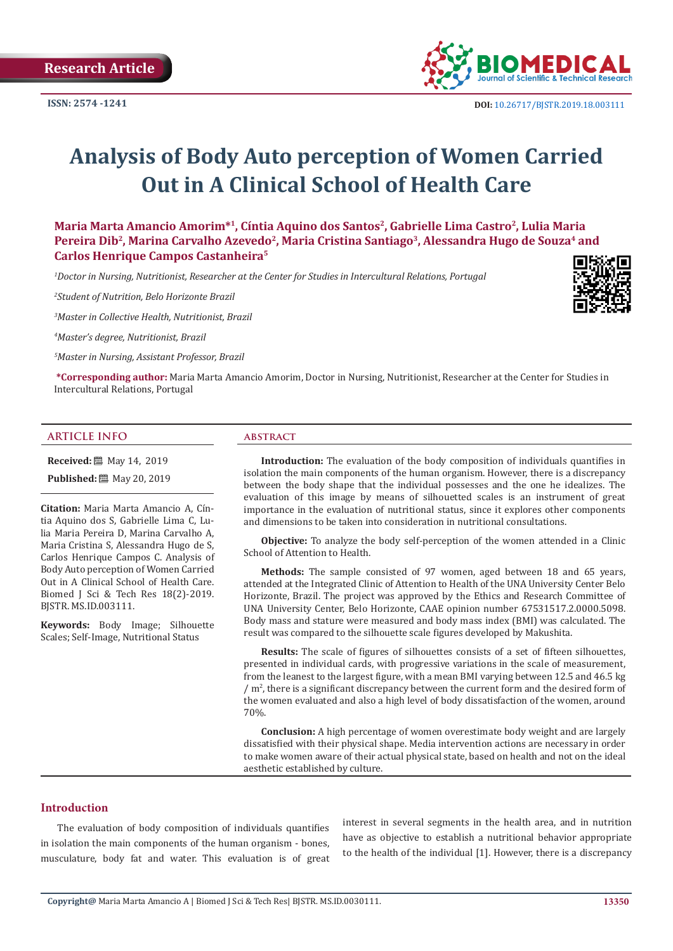

# **Analysis of Body Auto perception of Women Carried Out in A Clinical School of Health Care**

**Maria Marta Amancio Amorim\*1, Cíntia Aquino dos Santos2, Gabrielle Lima Castro2, Lulia Maria**  Pereira Dib<sup>2</sup>, Marina Carvalho Azevedo<sup>2</sup>, Maria Cristina Santiago<sup>3</sup>, Alessandra Hugo de Souza<sup>4</sup> and **Carlos Henrique Campos Castanheira5**

<sup>1</sup>Doctor in Nursing, Nutritionist, Researcher at the Center for Studies in Intercultural Relations, Portugal

*2 Student of Nutrition, Belo Horizonte Brazil*

*3 Master in Collective Health, Nutritionist, Brazil*

*4 Master's degree, Nutritionist, Brazil*

*5 Master in Nursing, Assistant Professor, Brazil*

**\*Corresponding author:** Maria Marta Amancio Amorim, Doctor in Nursing, Nutritionist, Researcher at the Center for Studies in Intercultural Relations, Portugal

#### **ARTICLE INFO abstract**

**Received:** 圖 May 14, 2019

**Published:** 圖 May 20, 2019

**Citation:** Maria Marta Amancio A, Cíntia Aquino dos S, Gabrielle Lima C, Lulia Maria Pereira D, Marina Carvalho A, Maria Cristina S, Alessandra Hugo de S, Carlos Henrique Campos C. Analysis of Body Auto perception of Women Carried Out in A Clinical School of Health Care. Biomed J Sci & Tech Res 18(2)-2019. BJSTR. MS.ID.003111.

**Keywords:** Body Image; Silhouette Scales; Self-Image, Nutritional Status

**Introduction:** The evaluation of the body composition of individuals quantifies in isolation the main components of the human organism. However, there is a discrepancy between the body shape that the individual possesses and the one he idealizes. The evaluation of this image by means of silhouetted scales is an instrument of great importance in the evaluation of nutritional status, since it explores other components and dimensions to be taken into consideration in nutritional consultations.

**Objective:** To analyze the body self-perception of the women attended in a Clinic School of Attention to Health.

**Methods:** The sample consisted of 97 women, aged between 18 and 65 years, attended at the Integrated Clinic of Attention to Health of the UNA University Center Belo Horizonte, Brazil. The project was approved by the Ethics and Research Committee of UNA University Center, Belo Horizonte, CAAE opinion number 67531517.2.0000.5098. Body mass and stature were measured and body mass index (BMI) was calculated. The result was compared to the silhouette scale figures developed by Makushita.

**Results:** The scale of figures of silhouettes consists of a set of fifteen silhouettes, presented in individual cards, with progressive variations in the scale of measurement, from the leanest to the largest figure, with a mean BMI varying between 12.5 and 46.5 kg /  $\rm m^2$ , there is a significant discrepancy between the current form and the desired form of the women evaluated and also a high level of body dissatisfaction of the women, around 70%.

**Conclusion:** A high percentage of women overestimate body weight and are largely dissatisfied with their physical shape. Media intervention actions are necessary in order to make women aware of their actual physical state, based on health and not on the ideal aesthetic established by culture.

# **Introduction**

The evaluation of body composition of individuals quantifies in isolation the main components of the human organism - bones, musculature, body fat and water. This evaluation is of great interest in several segments in the health area, and in nutrition have as objective to establish a nutritional behavior appropriate to the health of the individual [1]. However, there is a discrepancy

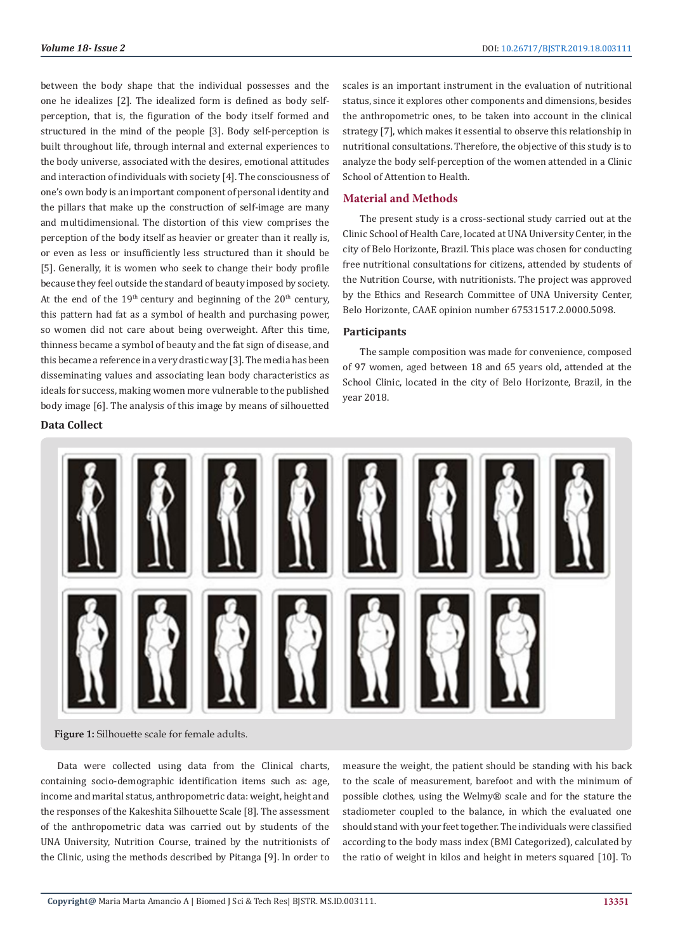between the body shape that the individual possesses and the one he idealizes [2]. The idealized form is defined as body selfperception, that is, the figuration of the body itself formed and structured in the mind of the people [3]. Body self-perception is built throughout life, through internal and external experiences to the body universe, associated with the desires, emotional attitudes and interaction of individuals with society [4]. The consciousness of one's own body is an important component of personal identity and the pillars that make up the construction of self-image are many and multidimensional. The distortion of this view comprises the perception of the body itself as heavier or greater than it really is, or even as less or insufficiently less structured than it should be [5]. Generally, it is women who seek to change their body profile because they feel outside the standard of beauty imposed by society. At the end of the  $19<sup>th</sup>$  century and beginning of the  $20<sup>th</sup>$  century, this pattern had fat as a symbol of health and purchasing power, so women did not care about being overweight. After this time, thinness became a symbol of beauty and the fat sign of disease, and this became a reference in a very drastic way [3]. The media has been disseminating values and associating lean body characteristics as ideals for success, making women more vulnerable to the published body image [6]. The analysis of this image by means of silhouetted

# **Data Collect**

scales is an important instrument in the evaluation of nutritional status, since it explores other components and dimensions, besides the anthropometric ones, to be taken into account in the clinical strategy [7], which makes it essential to observe this relationship in nutritional consultations. Therefore, the objective of this study is to analyze the body self-perception of the women attended in a Clinic School of Attention to Health.

### **Material and Methods**

The present study is a cross-sectional study carried out at the Clinic School of Health Care, located at UNA University Center, in the city of Belo Horizonte, Brazil. This place was chosen for conducting free nutritional consultations for citizens, attended by students of the Nutrition Course, with nutritionists. The project was approved by the Ethics and Research Committee of UNA University Center, Belo Horizonte, CAAE opinion number 67531517.2.0000.5098.

### **Participants**

The sample composition was made for convenience, composed of 97 women, aged between 18 and 65 years old, attended at the School Clinic, located in the city of Belo Horizonte, Brazil, in the year 2018.



**Figure 1:** Silhouette scale for female adults.

Data were collected using data from the Clinical charts, containing socio-demographic identification items such as: age, income and marital status, anthropometric data: weight, height and the responses of the Kakeshita Silhouette Scale [8]. The assessment of the anthropometric data was carried out by students of the UNA University, Nutrition Course, trained by the nutritionists of the Clinic, using the methods described by Pitanga [9]. In order to

measure the weight, the patient should be standing with his back to the scale of measurement, barefoot and with the minimum of possible clothes, using the Welmy® scale and for the stature the stadiometer coupled to the balance, in which the evaluated one should stand with your feet together. The individuals were classified according to the body mass index (BMI Categorized), calculated by the ratio of weight in kilos and height in meters squared [10]. To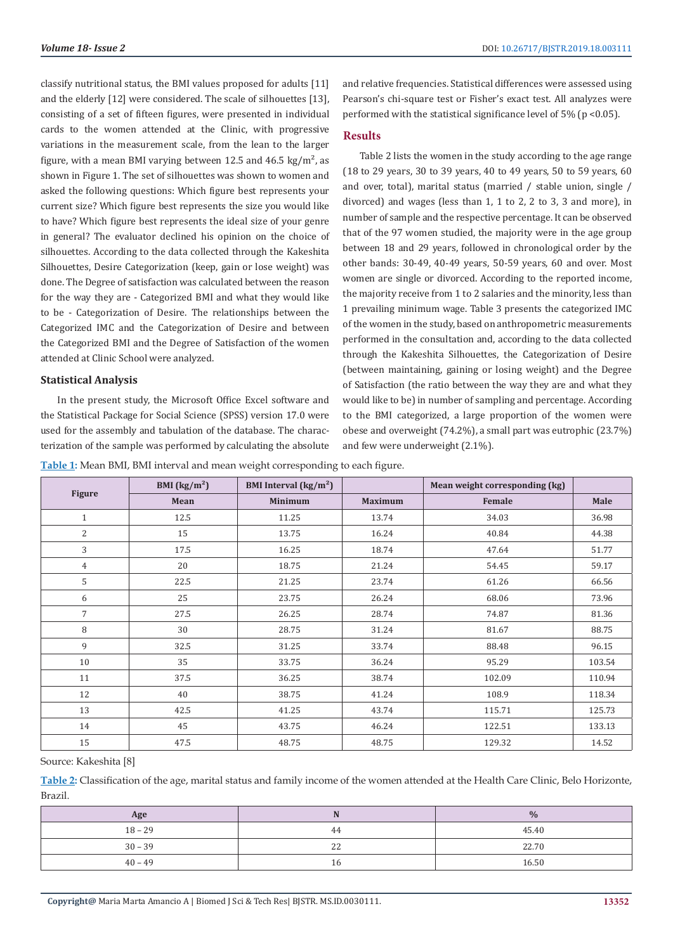classify nutritional status, the BMI values proposed for adults [11] and the elderly [12] were considered. The scale of silhouettes [13], consisting of a set of fifteen figures, were presented in individual cards to the women attended at the Clinic, with progressive variations in the measurement scale, from the lean to the larger figure, with a mean BMI varying between 12.5 and 46.5 kg/m<sup>2</sup>, as shown in Figure 1. The set of silhouettes was shown to women and asked the following questions: Which figure best represents your current size? Which figure best represents the size you would like to have? Which figure best represents the ideal size of your genre in general? The evaluator declined his opinion on the choice of silhouettes. According to the data collected through the Kakeshita Silhouettes, Desire Categorization (keep, gain or lose weight) was done. The Degree of satisfaction was calculated between the reason for the way they are - Categorized BMI and what they would like to be - Categorization of Desire. The relationships between the Categorized IMC and the Categorization of Desire and between the Categorized BMI and the Degree of Satisfaction of the women attended at Clinic School were analyzed.

### **Statistical Analysis**

In the present study, the Microsoft Office Excel software and the Statistical Package for Social Science (SPSS) version 17.0 were used for the assembly and tabulation of the database. The characterization of the sample was performed by calculating the absolute and relative frequencies. Statistical differences were assessed using Pearson's chi-square test or Fisher's exact test. All analyzes were performed with the statistical significance level of  $5\%$  (p <0.05).

# **Results**

Table 2 lists the women in the study according to the age range (18 to 29 years, 30 to 39 years, 40 to 49 years, 50 to 59 years, 60 and over, total), marital status (married / stable union, single / divorced) and wages (less than 1, 1 to 2, 2 to 3, 3 and more), in number of sample and the respective percentage. It can be observed that of the 97 women studied, the majority were in the age group between 18 and 29 years, followed in chronological order by the other bands: 30-49, 40-49 years, 50-59 years, 60 and over. Most women are single or divorced. According to the reported income, the majority receive from 1 to 2 salaries and the minority, less than 1 prevailing minimum wage. Table 3 presents the categorized IMC of the women in the study, based on anthropometric measurements performed in the consultation and, according to the data collected through the Kakeshita Silhouettes, the Categorization of Desire (between maintaining, gaining or losing weight) and the Degree of Satisfaction (the ratio between the way they are and what they would like to be) in number of sampling and percentage. According to the BMI categorized, a large proportion of the women were obese and overweight (74.2%), a small part was eutrophic (23.7%) and few were underweight (2.1%).

**Table 1:** Mean BMI, BMI interval and mean weight corresponding to each figure.

|                | BMI $\left({\rm kg/m^2}\right)$ | BMI Interval $\frac{\text{kg}}{\text{m}^2}$ |                | Mean weight corresponding (kg) |        |
|----------------|---------------------------------|---------------------------------------------|----------------|--------------------------------|--------|
| <b>Figure</b>  | Mean                            | <b>Minimum</b>                              | <b>Maximum</b> | Female                         | Male   |
| $\mathbf{1}$   | 12.5                            | 11.25                                       | 13.74          | 34.03                          | 36.98  |
| $\overline{2}$ | 15                              | 13.75                                       | 16.24          | 40.84                          | 44.38  |
| 3              | 17.5                            | 16.25                                       | 18.74          | 47.64                          | 51.77  |
| $\overline{4}$ | 20                              | 18.75                                       | 21.24          | 54.45                          | 59.17  |
| 5              | 22.5                            | 21.25                                       | 23.74          | 61.26                          | 66.56  |
| 6              | 25                              | 23.75                                       | 26.24          | 68.06                          | 73.96  |
| 7              | 27.5                            | 26.25                                       | 28.74          | 74.87                          | 81.36  |
| 8              | 30                              | 28.75                                       | 31.24          | 81.67                          | 88.75  |
| 9              | 32.5                            | 31.25                                       | 33.74          | 88.48                          | 96.15  |
| 10             | 35                              | 33.75                                       | 36.24          | 95.29                          | 103.54 |
| 11             | 37.5                            | 36.25                                       | 38.74          | 102.09                         | 110.94 |
| 12             | 40                              | 38.75                                       | 41.24          | 108.9                          | 118.34 |
| 13             | 42.5                            | 41.25                                       | 43.74          | 115.71                         | 125.73 |
| 14             | 45                              | 43.75                                       | 46.24          | 122.51                         | 133.13 |
| 15             | 47.5                            | 48.75                                       | 48.75          | 129.32                         | 14.52  |

#### Source: Kakeshita [8]

**Table 2:** Classification of the age, marital status and family income of the women attended at the Health Care Clinic, Belo Horizonte, Brazil.

| Age       |              | $\frac{0}{0}$ |
|-----------|--------------|---------------|
| $18 - 29$ | 44           | 45.40         |
| $30 - 39$ | $\sim$<br>22 | 22.70         |
| $40 - 49$ |              | 16.50         |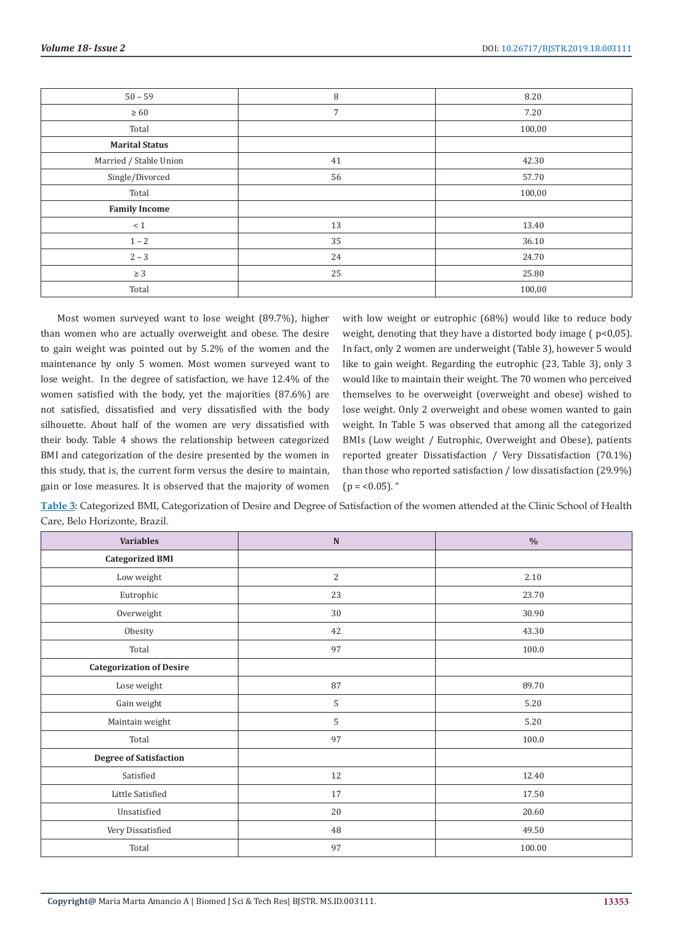| $50 - 59$              | 8  | 8.20   |
|------------------------|----|--------|
| $\geq 60$              | 7  | 7.20   |
| Total                  |    | 100,00 |
| <b>Marital Status</b>  |    |        |
| Married / Stable Union | 41 | 42.30  |
| Single/Divorced        | 56 | 57.70  |
| Total                  |    | 100,00 |
| <b>Family Income</b>   |    |        |
| < 1                    | 13 | 13.40  |
| $1 - 2$                | 35 | 36.10  |
| $2 - 3$                | 24 | 24.70  |
| $\geq 3$               | 25 | 25.80  |
| Total                  |    | 100,00 |

Most women surveyed want to lose weight (89.7%), higher than women who are actually overweight and obese. The desire to gain weight was pointed out by 5.2% of the women and the maintenance by only 5 women. Most women surveyed want to lose weight. In the degree of satisfaction, we have 12.4% of the women satisfied with the body, yet the majorities (87.6%) are not satisfied, dissatisfied and very dissatisfied with the body silhouette. About half of the women are very dissatisfied with their body. Table 4 shows the relationship between categorized BMI and categorization of the desire presented by the women in this study, that is, the current form versus the desire to maintain, gain or lose measures. It is observed that the majority of women

with low weight or eutrophic (68%) would like to reduce body weight, denoting that they have a distorted body image ( p<0,05). In fact, only 2 women are underweight (Table 3), however 5 would like to gain weight. Regarding the eutrophic (23, Table 3), only 3 would like to maintain their weight. The 70 women who perceived themselves to be overweight (overweight and obese) wished to lose weight. Only 2 overweight and obese women wanted to gain weight. In Table 5 was observed that among all the categorized BMIs (Low weight / Eutrophic, Overweight and Obese), patients reported greater Dissatisfaction / Very Dissatisfaction (70.1%) than those who reported satisfaction / low dissatisfaction (29.9%)  $(p = 0.05)$ .

**Table 3:** Categorized BMI, Categorization of Desire and Degree of Satisfaction of the women attended at the Clinic School of Health Care, Belo Horizonte, Brazil.

| <b>Variables</b>                | ${\bf N}$ | $\%$   |
|---------------------------------|-----------|--------|
| <b>Categorized BMI</b>          |           |        |
| Low weight                      | 2         | 2.10   |
| Eutrophic                       | 23        | 23.70  |
| Overweight                      | 30        | 30.90  |
| Obesity                         | 42        | 43.30  |
| Total                           | 97        | 100.0  |
| <b>Categorization of Desire</b> |           |        |
| Lose weight                     | 87        | 89.70  |
| Gain weight                     | 5         | 5.20   |
| Maintain weight                 | 5         | 5.20   |
| Total                           | 97        | 100.0  |
| <b>Degree of Satisfaction</b>   |           |        |
| Satisfied                       | 12        | 12.40  |
| Little Satisfied                | 17        | 17.50  |
| Unsatisfied                     | 20        | 20.60  |
| Very Dissatisfied               | 48        | 49.50  |
| Total                           | 97        | 100.00 |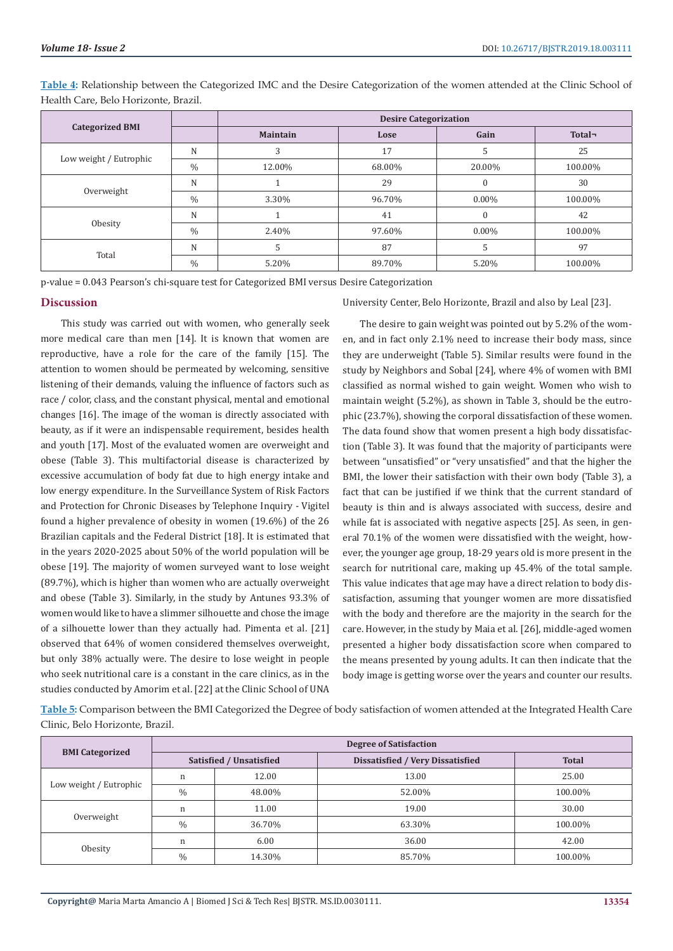|                        |               | <b>Desire Categorization</b> |        |              |         |
|------------------------|---------------|------------------------------|--------|--------------|---------|
| <b>Categorized BMI</b> |               | <b>Maintain</b>              | Lose   | Gain         | Total-  |
| Low weight / Eutrophic | N             | 3                            | 17     | 5            | 25      |
|                        | $\frac{0}{0}$ | 12.00%                       | 68.00% | 20.00%       | 100.00% |
| Overweight             | N             |                              | 29     | $\mathbf{0}$ | 30      |
|                        | $\frac{0}{0}$ | 3.30%                        | 96.70% | $0.00\%$     | 100.00% |
| Obesity                | N             |                              | 41     | $\mathbf{0}$ | 42      |
|                        | $\frac{0}{0}$ | 2.40%                        | 97.60% | $0.00\%$     | 100.00% |
| Total                  | N             |                              | 87     | 5            | 97      |
|                        | $\frac{0}{0}$ | 5.20%                        | 89.70% | 5.20%        | 100.00% |

**Table 4:** Relationship between the Categorized IMC and the Desire Categorization of the women attended at the Clinic School of Health Care, Belo Horizonte, Brazil.

p-value = 0.043 Pearson's chi-square test for Categorized BMI versus Desire Categorization

#### **Discussion**

 This study was carried out with women, who generally seek more medical care than men [14]. It is known that women are reproductive, have a role for the care of the family [15]. The attention to women should be permeated by welcoming, sensitive listening of their demands, valuing the influence of factors such as race / color, class, and the constant physical, mental and emotional changes [16]. The image of the woman is directly associated with beauty, as if it were an indispensable requirement, besides health and youth [17]. Most of the evaluated women are overweight and obese (Table 3). This multifactorial disease is characterized by excessive accumulation of body fat due to high energy intake and low energy expenditure. In the Surveillance System of Risk Factors and Protection for Chronic Diseases by Telephone Inquiry - Vigitel found a higher prevalence of obesity in women (19.6%) of the 26 Brazilian capitals and the Federal District [18]. It is estimated that in the years 2020-2025 about 50% of the world population will be obese [19]. The majority of women surveyed want to lose weight (89.7%), which is higher than women who are actually overweight and obese (Table 3). Similarly, in the study by Antunes 93.3% of women would like to have a slimmer silhouette and chose the image of a silhouette lower than they actually had. Pimenta et al. [21] observed that 64% of women considered themselves overweight, but only 38% actually were. The desire to lose weight in people who seek nutritional care is a constant in the care clinics, as in the studies conducted by Amorim et al. [22] at the Clinic School of UNA

University Center, Belo Horizonte, Brazil and also by Leal [23].

The desire to gain weight was pointed out by 5.2% of the women, and in fact only 2.1% need to increase their body mass, since they are underweight (Table 5). Similar results were found in the study by Neighbors and Sobal [24], where 4% of women with BMI classified as normal wished to gain weight. Women who wish to maintain weight (5.2%), as shown in Table 3, should be the eutrophic (23.7%), showing the corporal dissatisfaction of these women. The data found show that women present a high body dissatisfaction (Table 3). It was found that the majority of participants were between "unsatisfied" or "very unsatisfied" and that the higher the BMI, the lower their satisfaction with their own body (Table 3), a fact that can be justified if we think that the current standard of beauty is thin and is always associated with success, desire and while fat is associated with negative aspects [25]. As seen, in general 70.1% of the women were dissatisfied with the weight, however, the younger age group, 18-29 years old is more present in the search for nutritional care, making up 45.4% of the total sample. This value indicates that age may have a direct relation to body dissatisfaction, assuming that younger women are more dissatisfied with the body and therefore are the majority in the search for the care. However, in the study by Maia et al. [26], middle-aged women presented a higher body dissatisfaction score when compared to the means presented by young adults. It can then indicate that the body image is getting worse over the years and counter our results.

**Table 5:** Comparison between the BMI Categorized the Degree of body satisfaction of women attended at the Integrated Health Care Clinic, Belo Horizonte, Brazil.

|                        | <b>Degree of Satisfaction</b> |        |                                         |              |  |
|------------------------|-------------------------------|--------|-----------------------------------------|--------------|--|
| <b>BMI</b> Categorized | Satisfied / Unsatisfied       |        | <b>Dissatisfied / Very Dissatisfied</b> | <b>Total</b> |  |
| Low weight / Eutrophic | n                             | 12.00  | 13.00                                   | 25.00        |  |
|                        | $\%$                          | 48.00% | 52.00%                                  | 100.00%      |  |
| Overweight             | n                             | 11.00  | 19.00                                   | 30.00        |  |
|                        | $\%$                          | 36.70% | 63.30%                                  | 100.00%      |  |
| Obesity                | n                             | 6.00   | 36.00                                   | 42.00        |  |
|                        | $\frac{0}{0}$                 | 14.30% | 85.70%                                  | 100.00%      |  |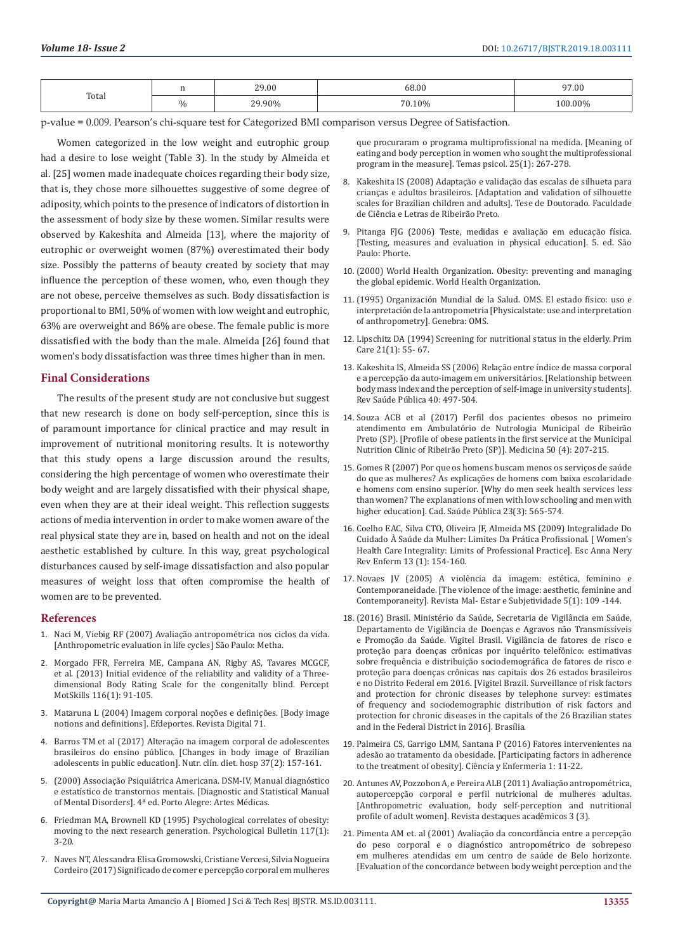| Total |          | 29.00             | 68.00  | 97.00     |
|-------|----------|-------------------|--------|-----------|
|       | $\Omega$ | 29.90%<br><u></u> | 70.10% | $00.00\%$ |

p-value = 0.009. Pearson's chi-square test for Categorized BMI comparison versus Degree of Satisfaction.

Women categorized in the low weight and eutrophic group had a desire to lose weight (Table 3). In the study by Almeida et al. [25] women made inadequate choices regarding their body size, that is, they chose more silhouettes suggestive of some degree of adiposity, which points to the presence of indicators of distortion in the assessment of body size by these women. Similar results were observed by Kakeshita and Almeida [13], where the majority of eutrophic or overweight women (87%) overestimated their body size. Possibly the patterns of beauty created by society that may influence the perception of these women, who, even though they are not obese, perceive themselves as such. Body dissatisfaction is proportional to BMI, 50% of women with low weight and eutrophic, 63% are overweight and 86% are obese. The female public is more dissatisfied with the body than the male. Almeida [26] found that women's body dissatisfaction was three times higher than in men.

# **Final Considerations**

The results of the present study are not conclusive but suggest that new research is done on body self-perception, since this is of paramount importance for clinical practice and may result in improvement of nutritional monitoring results. It is noteworthy that this study opens a large discussion around the results, considering the high percentage of women who overestimate their body weight and are largely dissatisfied with their physical shape, even when they are at their ideal weight. This reflection suggests actions of media intervention in order to make women aware of the real physical state they are in, based on health and not on the ideal aesthetic established by culture. In this way, great psychological disturbances caused by self-image dissatisfaction and also popular measures of weight loss that often compromise the health of women are to be prevented.

#### **References**

- 1. [Naci M, Viebig RF \(2007\) Avaliação antropométrica nos ciclos da vida.](https://www.saraiva.com.br/avaliacao-antropometrica-no-ciclos-da-vida-2-ed-2011-3455460.html)  [\[Anthropometric evaluation in life cycles\] São Paulo: Metha.](https://www.saraiva.com.br/avaliacao-antropometrica-no-ciclos-da-vida-2-ed-2011-3455460.html)
- 2. [Morgado FFR, Ferreira ME, Campana AN, Rigby AS, Tavares MCGCF,](https://www.ncbi.nlm.nih.gov/pubmed/23829137)  [et al. \(2013\) Initial evidence of the reliability and validity of a Three](https://www.ncbi.nlm.nih.gov/pubmed/23829137)[dimensional Body Rating Scale for the congenitally blind. Percept](https://www.ncbi.nlm.nih.gov/pubmed/23829137)  [MotSkills 116\(1\): 91-105.](https://www.ncbi.nlm.nih.gov/pubmed/23829137)
- 3. [Mataruna L \(2004\) Imagem corporal noções e definições. \[Body image](https://www.efdeportes.com/efd71/imagem.htm)  [notions and definitions\]. Efdeportes. Revista Digital 71.](https://www.efdeportes.com/efd71/imagem.htm)
- 4. [Barros TM et al \(2017\) Alteração na imagem corporal de adolescentes](http://revista.nutricion.org/PDF/MAYARA.pdf)  [brasileiros do ensino público. \[Changes in body image of Brazilian](http://revista.nutricion.org/PDF/MAYARA.pdf)  [adolescents in public education\]. Nutr. clín. diet. hosp 37\(2\): 157-161.](http://revista.nutricion.org/PDF/MAYARA.pdf)
- 5. [\(2000\) Associação Psiquiátrica Americana. DSM-IV, Manual diagnóstico](http://newpsi.bvs-psi.org.br/uploads/linha%20do%20tempo%20DSM/index.html)  [e estatístico de transtornos mentais. \[Diagnostic and Statistical Manual](http://newpsi.bvs-psi.org.br/uploads/linha%20do%20tempo%20DSM/index.html)  [of Mental Disorders\]. 4ª ed. Porto Alegre: Artes Médicas.](http://newpsi.bvs-psi.org.br/uploads/linha%20do%20tempo%20DSM/index.html)
- 6. [Friedman MA, Brownell KD \(1995\) Psychological correlates of obesity:](https://www.ncbi.nlm.nih.gov/pubmed/7870862)  [moving to the next research generation. Psychological Bulletin 117\(1\):](https://www.ncbi.nlm.nih.gov/pubmed/7870862)  [3-20.](https://www.ncbi.nlm.nih.gov/pubmed/7870862)
- 7. [Naves NT, Alessandra Elisa Gromowski, Cristiane Vercesi, Silvia Nogueira](http://pepsic.bvsalud.org/scielo.php?script=sci_arttext&pid=S1413-389X2017000100016)  [Cordeiro \(2017\) Significado de comer e percepção corporal em mulheres](http://pepsic.bvsalud.org/scielo.php?script=sci_arttext&pid=S1413-389X2017000100016)

[que procuraram o programa multiprofissional na medida. \[Meaning of](http://pepsic.bvsalud.org/scielo.php?script=sci_arttext&pid=S1413-389X2017000100016) [eating and body perception in women who sought the multiprofessional](http://pepsic.bvsalud.org/scielo.php?script=sci_arttext&pid=S1413-389X2017000100016) [program in the measure\]. Temas psicol. 25\(1\): 267-278.](http://pepsic.bvsalud.org/scielo.php?script=sci_arttext&pid=S1413-389X2017000100016)

- 8. [Kakeshita IS \(2008\) Adaptação e validação das escalas de silhueta para](http://www.teses.usp.br/teses/disponiveis/59/59134/tde-25052008-170240/pt-br.php) [crianças e adultos brasileiros. \[Adaptation and validation of silhouette](http://www.teses.usp.br/teses/disponiveis/59/59134/tde-25052008-170240/pt-br.php) [scales for Brazilian children and adults\]. Tese de Doutorado. Faculdade](http://www.teses.usp.br/teses/disponiveis/59/59134/tde-25052008-170240/pt-br.php) [de Ciência e Letras de Ribeirão Preto.](http://www.teses.usp.br/teses/disponiveis/59/59134/tde-25052008-170240/pt-br.php)
- 9. [Pitanga FJG \(2006\) Teste, medidas e avaliação em educação física.](https://www.saraiva.com.br/testes-medidas-e-avaliacao-em-educacao-fisica-e-esportes-9434813.html) [\[Testing, measures and evaluation in physical education\]. 5. ed. São](https://www.saraiva.com.br/testes-medidas-e-avaliacao-em-educacao-fisica-e-esportes-9434813.html) [Paulo: Phorte.](https://www.saraiva.com.br/testes-medidas-e-avaliacao-em-educacao-fisica-e-esportes-9434813.html)
- 10. [\(2000\) World Health Organization. Obesity: preventing and managing](https://www.who.int/nutrition/publications/obesity/WHO_TRS_894/en/) [the global epidemic. World Health Organization.](https://www.who.int/nutrition/publications/obesity/WHO_TRS_894/en/)
- 11. [\(1995\) Organización Mundial de la Salud. OMS. El estado físico: uso e](https://apps.who.int/iris/handle/10665/42132) [interpretación de la antropometria \[Physicalstate: use and interpretation](https://apps.who.int/iris/handle/10665/42132) [of anthropometry\]. Genebra: OMS.](https://apps.who.int/iris/handle/10665/42132)
- 12. [Lipschitz DA \(1994\) Screening for nutritional status in the elderly. Prim](https://www.ncbi.nlm.nih.gov/pubmed/8197257) [Care 21\(1\): 55- 67.](https://www.ncbi.nlm.nih.gov/pubmed/8197257)
- 13. [Kakeshita IS, Almeida SS \(2006\) Relação entre índice de massa corporal](http://www.scielo.br/scielo.php?pid=s0034-89102006000300019&script=sci_abstract&tlng=pt) [e a percepção da auto-imagem em universitários. \[Relationship between](http://www.scielo.br/scielo.php?pid=s0034-89102006000300019&script=sci_abstract&tlng=pt) [body mass index and the perception of self-image in university students\].](http://www.scielo.br/scielo.php?pid=s0034-89102006000300019&script=sci_abstract&tlng=pt) [Rev Saúde Pública 40: 497-504.](http://www.scielo.br/scielo.php?pid=s0034-89102006000300019&script=sci_abstract&tlng=pt)
- 14. [Souza ACB et al \(2017\) Perfil dos pacientes obesos no primeiro](http://www.revistas.usp.br/rmrp/article/view/140479) [atendimento em Ambulatório de Nutrologia Municipal de Ribeirão](http://www.revistas.usp.br/rmrp/article/view/140479) [Preto \(SP\). \[Profile of obese patients in the first service at the Municipal](http://www.revistas.usp.br/rmrp/article/view/140479) [Nutrition Clinic of Ribeirão Preto \(SP\)\]. Medicina 50 \(4\): 207-215.](http://www.revistas.usp.br/rmrp/article/view/140479)
- 15. [Gomes R \(2007\) Por que os homens buscam menos os serviços de saúde](http://www.scielo.br/scielo.php?script=sci_arttext&pid=S0102-311X2007000300015) [do que as mulheres? As explicações de homens com baixa escolaridade](http://www.scielo.br/scielo.php?script=sci_arttext&pid=S0102-311X2007000300015) [e homens com ensino superior. \[Why do men seek health services less](http://www.scielo.br/scielo.php?script=sci_arttext&pid=S0102-311X2007000300015) [than women? The explanations of men with low schooling and men with](http://www.scielo.br/scielo.php?script=sci_arttext&pid=S0102-311X2007000300015) [higher education\]. Cad. Saúde Pública 23\(3\): 565-574.](http://www.scielo.br/scielo.php?script=sci_arttext&pid=S0102-311X2007000300015)
- 16. [Coelho EAC, Silva CTO, Oliveira JF, Almeida MS \(2009\) Integralidade Do](http://www.scielo.br/scielo.php?script=sci_arttext&pid=S1414-81452009000100021) [Cuidado À Saúde da Mulher: Limites Da Prática Profissional. \[ Women's](http://www.scielo.br/scielo.php?script=sci_arttext&pid=S1414-81452009000100021) [Health Care Integrality: Limits of Professional Practice\]. Esc Anna Nery](http://www.scielo.br/scielo.php?script=sci_arttext&pid=S1414-81452009000100021) [Rev Enferm 13 \(1\): 154-160.](http://www.scielo.br/scielo.php?script=sci_arttext&pid=S1414-81452009000100021)
- 17. [Novaes JV \(2005\) A violência da imagem: estética, feminino e](http://pepsic.bvsalud.org/scielo.php?script=sci_abstract&pid=S1518-61482005000100006&lng=en&nrm=iso) [Contemporaneidade. \[The violence of the image: aesthetic, feminine and](http://pepsic.bvsalud.org/scielo.php?script=sci_abstract&pid=S1518-61482005000100006&lng=en&nrm=iso) [Contemporaneity\]. Revista Mal- Estar e Subjetividade 5\(1\): 109 -144.](http://pepsic.bvsalud.org/scielo.php?script=sci_abstract&pid=S1518-61482005000100006&lng=en&nrm=iso)
- 18. [\(2016\) Brasil. Ministério da Saúde, Secretaria de Vigilância em Saúde,](http://bvsms.saude.gov.br/bvs/publicacoes/vigitel_brasil_2016_fatores_risco.pdf) [Departamento de Vigilância de Doenças e Agravos não Transmissíveis](http://bvsms.saude.gov.br/bvs/publicacoes/vigitel_brasil_2016_fatores_risco.pdf) [e Promoção da Saúde. Vigitel Brasil. Vigilância de fatores de risco e](http://bvsms.saude.gov.br/bvs/publicacoes/vigitel_brasil_2016_fatores_risco.pdf) [proteção para doenças crônicas por inquérito telefônico: estimativas](http://bvsms.saude.gov.br/bvs/publicacoes/vigitel_brasil_2016_fatores_risco.pdf) [sobre frequência e distribuição sociodemográfica de fatores de risco e](http://bvsms.saude.gov.br/bvs/publicacoes/vigitel_brasil_2016_fatores_risco.pdf) [proteção para doenças crônicas nas capitais dos 26 estados brasileiros](http://bvsms.saude.gov.br/bvs/publicacoes/vigitel_brasil_2016_fatores_risco.pdf) [e no Distrito Federal em 2016. \[Vigitel Brazil. Surveillance of risk factors](http://bvsms.saude.gov.br/bvs/publicacoes/vigitel_brasil_2016_fatores_risco.pdf) [and protection for chronic diseases by telephone survey: estimates](http://bvsms.saude.gov.br/bvs/publicacoes/vigitel_brasil_2016_fatores_risco.pdf) [of frequency and sociodemographic distribution of risk factors and](http://bvsms.saude.gov.br/bvs/publicacoes/vigitel_brasil_2016_fatores_risco.pdf) [protection for chronic diseases in the capitals of the 26 Brazilian states](http://bvsms.saude.gov.br/bvs/publicacoes/vigitel_brasil_2016_fatores_risco.pdf) [and in the Federal District in 2016\]. Brasília.](http://bvsms.saude.gov.br/bvs/publicacoes/vigitel_brasil_2016_fatores_risco.pdf)
- 19. Palmeira CS, Garrigo LMM, Santana P (2016) Fatores intervenientes na adesão ao tratamento da obesidade. [Participating factors in adherence to the treatment of obesity]. Ciência y Enfermeria 1: 11-22.
- 20. Antunes AV, Pozzobon A, e Pereira ALB (2011) Avaliação antropométrica, autopercepção corporal e perfil nutricional de mulheres adultas. [Anthropometric evaluation, body self-perception and nutritional profile of adult women]. Revista destaques acadêmicos 3 (3).
- 21. Pimenta AM et. al (2001) Avaliação da concordância entre a percepção do peso corporal e o diagnóstico antropométrico de sobrepeso em mulheres atendidas em um centro de saúde de Belo horizonte. [Evaluation of the concordance between body weight perception and the